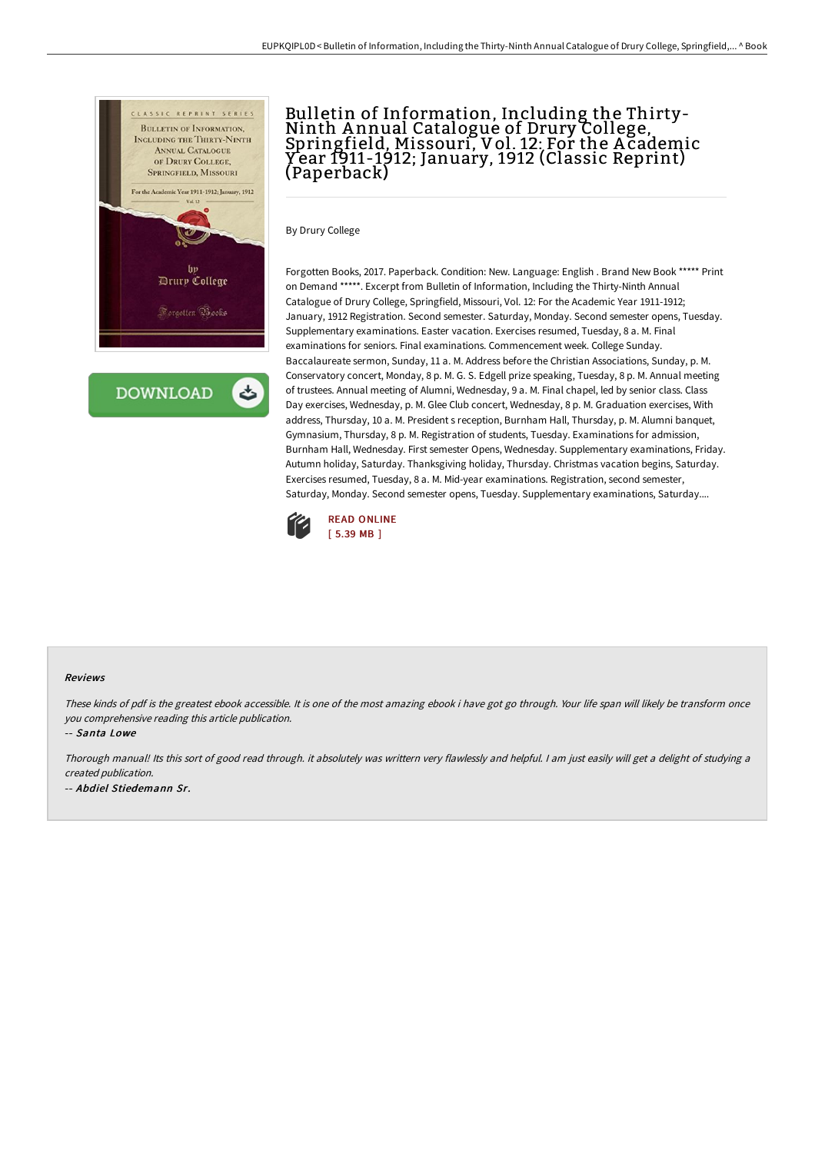

**DOWNLOAD** 

# Bulletin of Information, Including the Thirty-<br>Ninth Annual Catalogue of Drury College, Springfield, Missouri, Vol. 12: For the A cademic Y ear 1911-1912; January, 1912 (Classic Reprint) (Paperback)

By Drury College

Forgotten Books, 2017. Paperback. Condition: New. Language: English . Brand New Book \*\*\*\*\* Print on Demand \*\*\*\*\*. Excerpt from Bulletin of Information, Including the Thirty-Ninth Annual Catalogue of Drury College, Springfield, Missouri, Vol. 12: For the Academic Year 1911-1912; January, 1912 Registration. Second semester. Saturday, Monday. Second semester opens, Tuesday. Supplementary examinations. Easter vacation. Exercises resumed, Tuesday, 8 a. M. Final examinations for seniors. Final examinations. Commencement week. College Sunday. Baccalaureate sermon, Sunday, 11 a. M. Address before the Christian Associations, Sunday, p. M. Conservatory concert, Monday, 8 p. M. G. S. Edgell prize speaking, Tuesday, 8 p. M. Annual meeting of trustees. Annual meeting of Alumni, Wednesday, 9 a. M. Final chapel, led by senior class. Class Day exercises, Wednesday, p. M. Glee Club concert, Wednesday, 8 p. M. Graduation exercises, With address, Thursday, 10 a. M. President s reception, Burnham Hall, Thursday, p. M. Alumni banquet, Gymnasium, Thursday, 8 p. M. Registration of students, Tuesday. Examinations for admission, Burnham Hall, Wednesday. First semester Opens, Wednesday. Supplementary examinations, Friday. Autumn holiday, Saturday. Thanksgiving holiday, Thursday. Christmas vacation begins, Saturday. Exercises resumed, Tuesday, 8 a. M. Mid-year examinations. Registration, second semester, Saturday, Monday. Second semester opens, Tuesday. Supplementary examinations, Saturday....



#### Reviews

These kinds of pdf is the greatest ebook accessible. It is one of the most amazing ebook i have got go through. Your life span will likely be transform once you comprehensive reading this article publication.

-- Santa Lowe

Thorough manual! Its this sort of good read through. it absolutely was writtern very flawlessly and helpful. <sup>I</sup> am just easily will get <sup>a</sup> delight of studying <sup>a</sup> created publication.

-- Abdiel Stiedemann Sr.